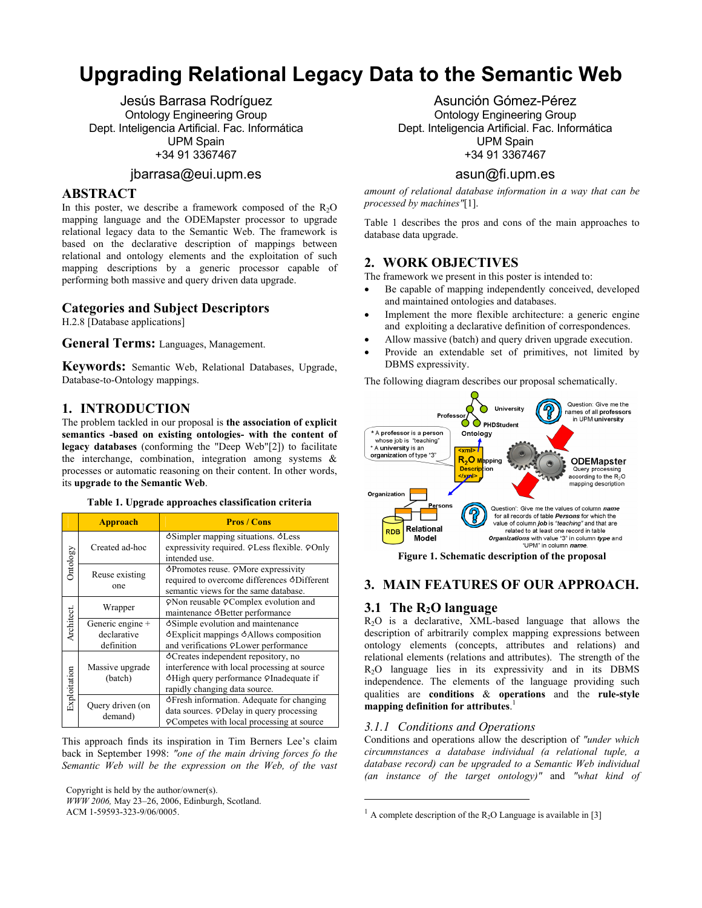# **Upgrading Relational Legacy Data to the Semantic Web**

Jesús Barrasa Rodríguez Ontology Engineering Group Dept. Inteligencia Artificial. Fac. Informática UPM Spain +34 91 3367467

# jbarrasa@eui.upm.es

### **ABSTRACT**

In this poster, we describe a framework composed of the  $R_2O$ mapping language and the ODEMapster processor to upgrade relational legacy data to the Semantic Web. The framework is based on the declarative description of mappings between relational and ontology elements and the exploitation of such mapping descriptions by a generic processor capable of performing both massive and query driven data upgrade.

# **Categories and Subject Descriptors**

H.2.8 [Database applications]

**General Terms:** Languages, Management.

**Keywords:** Semantic Web, Relational Databases, Upgrade, Database-to-Ontology mappings.

### **1. INTRODUCTION**

The problem tackled in our proposal is **the association of explicit semantics -based on existing ontologies- with the content of legacy databases** (conforming the "Deep Web"[2]) to facilitate the interchange, combination, integration among systems & processes or automatic reasoning on their content. In other words, its **upgrade to the Semantic Web**.

#### **Table 1. Upgrade approaches classification criteria**

|              | <b>Approach</b>                               | <b>Pros / Cons</b>                                                                                                                                            |
|--------------|-----------------------------------------------|---------------------------------------------------------------------------------------------------------------------------------------------------------------|
| Ontology     | Created ad-hoc                                | Simpler mapping situations. SLess<br>expressivity required. PLess flexible. POnly<br>intended use.                                                            |
|              | Reuse existing<br>one                         | <b>SPromotes reuse. PMore expressivity</b><br>required to overcome differences 3Different<br>semantic views for the same database.                            |
| Architect.   | Wrapper                                       | PNon reusable PComplex evolution and<br>maintenance &Better performance                                                                                       |
|              | Generic engine +<br>declarative<br>definition | Simple evolution and maintenance<br>SExplicit mappings SAllows composition<br>and verifications <b>PLower</b> performance                                     |
| Exploitation | Massive upgrade<br>(batch)                    | Creates independent repository, no<br>interference with local processing at source<br>OHigh query performance OInadequate if<br>rapidly changing data source. |
|              | Query driven (on<br>demand)                   | SFresh information. Adequate for changing<br>data sources. PDelay in query processing<br><b>Competes with local processing at source</b>                      |

This approach finds its inspiration in Tim Berners Lee's claim back in September 1998: *"one of the main driving forces fo the Semantic Web will be the expression on the Web, of the vast* 

Copyright is held by the author/owner(s).

*WWW 2006,* May 23–26, 2006, Edinburgh, Scotland. ACM 1-59593-323-9/06/0005.

Asunción Gómez-Pérez Ontology Engineering Group Dept. Inteligencia Artificial. Fac. Informática UPM Spain +34 91 3367467

# asun@fi.upm.es

*amount of relational database information in a way that can be processed by machines"*[1].

Table 1 describes the pros and cons of the main approaches to database data upgrade.

### **2. WORK OBJECTIVES**

The framework we present in this poster is intended to:

- Be capable of mapping independently conceived, developed and maintained ontologies and databases.
- Implement the more flexible architecture: a generic engine and exploiting a declarative definition of correspondences.
- Allow massive (batch) and query driven upgrade execution.
- Provide an extendable set of primitives, not limited by DBMS expressivity.

The following diagram describes our proposal schematically.



### **3. MAIN FEATURES OF OUR APPROACH.**

#### **3.1 The R<sub>2</sub>O language**

R2O is a declarative, XML-based language that allows the description of arbitrarily complex mapping expressions between ontology elements (concepts, attributes and relations) and relational elements (relations and attributes). The strength of the R2O language lies in its expressivity and in its DBMS independence. The elements of the language providing such qualities are **conditions** & **operations** and the **rule-style mapping definition for attributes**. [1](#page-0-0)

#### *3.1.1 Conditions and Operations*

1

Conditions and operations allow the description of *"under which circumnstances a database individual (a relational tuple, a database record) can be upgraded to a Semantic Web individual (an instance of the target ontology)"* and *"what kind of* 

<span id="page-0-0"></span> $1$  A complete description of the R<sub>2</sub>O Language is available in [3]